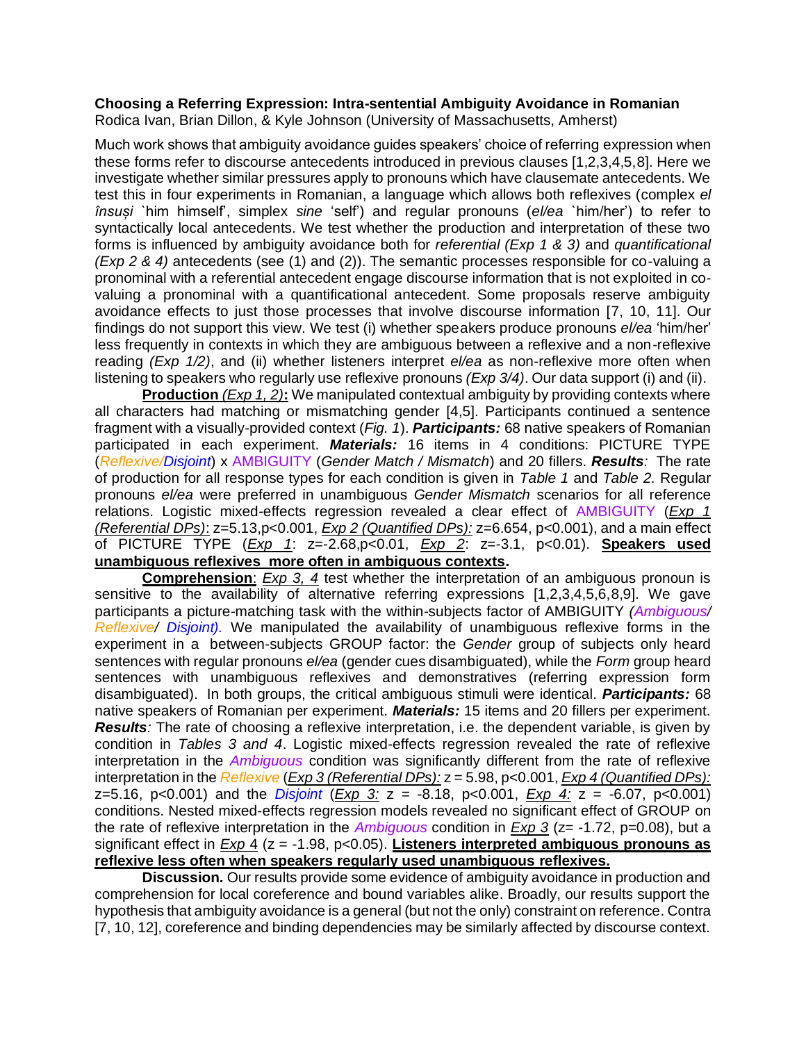## **Choosing a Referring Expression: Intra-sentential Ambiguity Avoidance in Romanian**

Rodica Ivan, Brian Dillon, & Kyle Johnson (University of Massachusetts, Amherst)

Much work shows that ambiguity avoidance guides speakers' choice of referring expression when these forms refer to discourse antecedents introduced in previous clauses [1,2,3,4,5,8]. Here we investigate whether similar pressures apply to pronouns which have clausemate antecedents. We test this in four experiments in Romanian, a language which allows both reflexives (complex *el însuși* `him himself', simplex *sine* 'self') and regular pronouns (*el/ea* `him/her') to refer to syntactically local antecedents. We test whether the production and interpretation of these two forms is influenced by ambiguity avoidance both for *referential (Exp 1 & 3)* and *quantificational (Exp 2 & 4)* antecedents (see (1) and (2)). The semantic processes responsible for co-valuing a pronominal with a referential antecedent engage discourse information that is not exploited in covaluing a pronominal with a quantificational antecedent. Some proposals reserve ambiguity avoidance effects to just those processes that involve discourse information [7, 10, 11]. Our findings do not support this view. We test (i) whether speakers produce pronouns *el/ea* 'him/her' less frequently in contexts in which they are ambiguous between a reflexive and a non-reflexive reading *(Exp 1/2)*, and (ii) whether listeners interpret *el/ea* as non-reflexive more often when listening to speakers who regularly use reflexive pronouns *(Exp 3/4)*. Our data support (i) and (ii).

**Production** *(Exp 1, 2)***:** We manipulated contextual ambiguity by providing contexts where all characters had matching or mismatching gender [4,5]. Participants continued a sentence fragment with a visually-provided context (*Fig. 1*). *Participants:* 68 native speakers of Romanian participated in each experiment. *Materials:* 16 items in 4 conditions: PICTURE TYPE (*Reflexive/Disjoint*) x AMBIGUITY (*Gender Match / Mismatch*) and 20 fillers. *Results:* The rate of production for all response types for each condition is given in *Table 1* and *Table 2.* Regular pronouns *el/ea* were preferred in unambiguous *Gender Mismatch* scenarios for all reference relations. Logistic mixed-effects regression revealed a clear effect of AMBIGUITY (*Exp 1 (Referential DPs)*: z=5.13,p<0.001, *Exp 2 (Quantified DPs):* z=6.654, p<0.001), and a main effect of PICTURE TYPE (*Exp 1*: z=-2.68,p<0.01, *Exp 2*: z=-3.1, p<0.01). **Speakers used unambiguous reflexives more often in ambiguous contexts.**

**Comprehension**: *Exp 3, 4* test whether the interpretation of an ambiguous pronoun is sensitive to the availability of alternative referring expressions [1,2,3,4,5,6,8,9]. We gave participants a picture-matching task with the within-subjects factor of AMBIGUITY *(Ambiguous/ Reflexive/ Disjoint).* We manipulated the availability of unambiguous reflexive forms in the experiment in a between-subjects GROUP factor: the *Gender* group of subjects only heard sentences with regular pronouns *el/ea* (gender cues disambiguated), while the *Form* group heard sentences with unambiguous reflexives and demonstratives (referring expression form disambiguated). In both groups, the critical ambiguous stimuli were identical. *Participants:* 68 native speakers of Romanian per experiment. *Materials:* 15 items and 20 fillers per experiment. *Results:* The rate of choosing a reflexive interpretation, i.e. the dependent variable, is given by condition in *Tables 3 and 4*. Logistic mixed-effects regression revealed the rate of reflexive interpretation in the *Ambiguous* condition was significantly different from the rate of reflexive interpretation in the *Reflexive* (*Exp 3 (Referential DPs):* z = 5.98, p<0.001, *Exp 4 (Quantified DPs):* z=5.16, p<0.001) and the *Disjoint* (*Exp 3:* z = -8.18, p<0.001, *Exp 4:* z = -6.07, p<0.001) conditions. Nested mixed-effects regression models revealed no significant effect of GROUP on the rate of reflexive interpretation in the *Ambiguous* condition in *Exp 3* (z= -1.72, p=0.08), but a significant effect in *Exp* 4 (z = -1.98, p<0.05). **Listeners interpreted ambiguous pronouns as reflexive less often when speakers regularly used unambiguous reflexives.**

**Discussion***.* Our results provide some evidence of ambiguity avoidance in production and comprehension for local coreference and bound variables alike. Broadly, our results support the hypothesis that ambiguity avoidance is a general (but not the only) constraint on reference. Contra [7, 10, 12], coreference and binding dependencies may be similarly affected by discourse context.